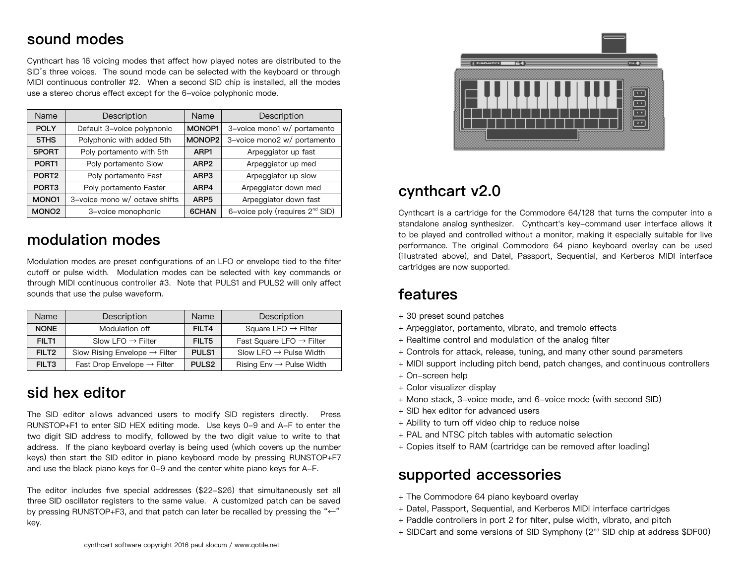## **sound modes**

Cynthcart has 16 voicing modes that affect how played notes are distributed to the SID's three voices. The sound mode can be selected with the keyboard or through MIDI continuous controller #2. When a second SID chip is installed, all the modes use a stereo chorus effect except for the 6-voice polyphonic mode.

| Name              | Description                   | Name             | Description                          |
|-------------------|-------------------------------|------------------|--------------------------------------|
| <b>POLY</b>       | Default 3-voice polyphonic    | MONOP1           | 3-voice mono1 w/ portamento          |
| 5THS              | Polyphonic with added 5th     | MONOP2           | 3-voice mono2 w/ portamento          |
| 5PORT             | Poly portamento with 5th      | ARP1             | Arpeggiator up fast                  |
| PORT <sub>1</sub> | Poly portamento Slow          | ARP <sub>2</sub> | Arpeggiator up med                   |
| PORT <sub>2</sub> | Poly portamento Fast          | ARP3             | Arpeggiator up slow                  |
| PORT <sub>3</sub> | Poly portamento Faster        | ARP4             | Arpeggiator down med                 |
| MONO <sub>1</sub> | 3-voice mono w/ octave shifts | ARP <sub>5</sub> | Arpeggiator down fast                |
| MONO <sub>2</sub> | 3-voice monophonic            | 6CHAN            | 6-voice poly (requires $2^{nd}$ SID) |

# **modulation modes**

Modulation modes are preset configurations of an LFO or envelope tied to the filter cutoff or pulse width. Modulation modes can be selected with key commands or through MIDI continuous controller #3. Note that PULS1 and PULS2 will only affect sounds that use the pulse waveform.

| <b>Name</b>       | Description                               | Name              | Description                          |
|-------------------|-------------------------------------------|-------------------|--------------------------------------|
| <b>NONE</b>       | Modulation off                            | FILT4             | Square LFO $\rightarrow$ Filter      |
| FILT <sub>1</sub> | Slow LFO $\rightarrow$ Filter             | FILT5             | Fast Square LFO $\rightarrow$ Filter |
| FILT <sub>2</sub> | Slow Rising Envelope $\rightarrow$ Filter | PULS <sub>1</sub> | Slow LFO $\rightarrow$ Pulse Width   |
| FILT3             | Fast Drop Envelope $\rightarrow$ Filter   | PULS <sub>2</sub> | Rising $Env \rightarrow$ Pulse Width |

# **sid hex editor**

The SID editor allows advanced users to modify SID registers directly. Press RUNSTOP+F1 to enter SID HEX editing mode. Use keys 0-9 and A-F to enter the two digit SID address to modify, followed by the two digit value to write to that address. If the piano keyboard overlay is being used (which covers up the number keys) then start the SID editor in piano keyboard mode by pressing RUNSTOP+F7 and use the black piano keys for 0-9 and the center white piano keys for A-F.

The editor includes five special addresses (\$22-\$26) that simultaneously set all three SID oscillator registers to the same value. A customized patch can be saved by pressing RUNSTOP+F3, and that patch can later be recalled by pressing the "←" key.



## **cynthcart v2.0**

Cynthcart is a cartridge for the Commodore 64/128 that turns the computer into a standalone analog synthesizer. Cynthcart's key-command user interface allows it to be played and controlled without a monitor, making it especially suitable for live performance. The original Commodore 64 piano keyboard overlay can be used (illustrated above), and Datel, Passport, Sequential, and Kerberos MIDI interface cartridges are now supported.

#### **features**

- + 30 preset sound patches
- + Arpeggiator, portamento, vibrato, and tremolo effects
- + Realtime control and modulation of the analog filter
- + Controls for attack, release, tuning, and many other sound parameters
- + MIDI support including pitch bend, patch changes, and continuous controllers
- + On-screen help
- + Color visualizer display
- + Mono stack, 3-voice mode, and 6-voice mode (with second SID)
- + SID hex editor for advanced users
- + Ability to turn off video chip to reduce noise
- + PAL and NTSC pitch tables with automatic selection
- + Copies itself to RAM (cartridge can be removed after loading)

### **supported accessories**

- + The Commodore 64 piano keyboard overlay
- + Datel, Passport, Sequential, and Kerberos MIDI interface cartridges
- + Paddle controllers in port 2 for filter, pulse width, vibrato, and pitch
- + SIDCart and some versions of SID Symphony (2<sup>nd</sup> SID chip at address \$DF00)